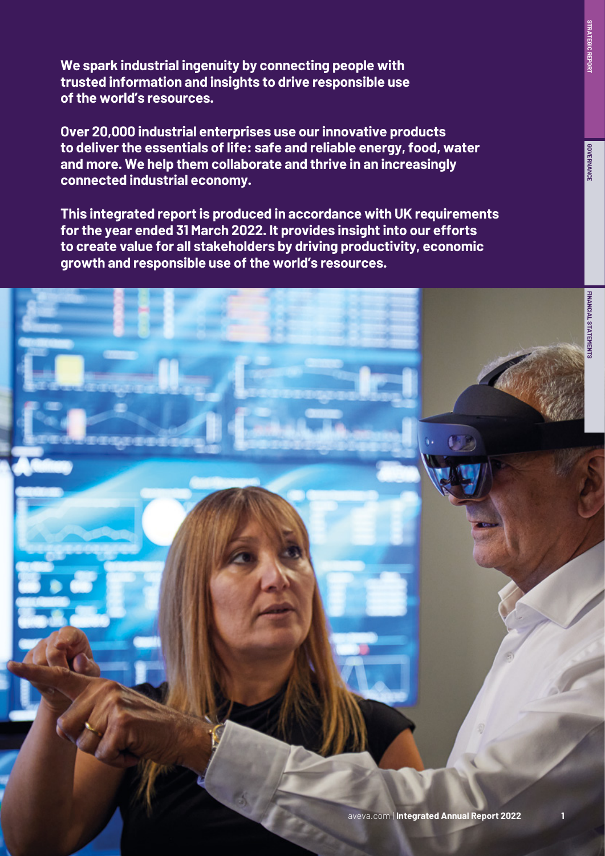**We spark industrial ingenuity by connecting people with trusted information and insights to drive responsible use of the world's resources.**

**Over 20,000 industrial enterprises use our innovative products to deliver the essentials of life: safe and reliable energy, food, water and more. We help them collaborate and thrive in an increasingly connected industrial economy.**

**This integrated report is produced in accordance with UK requirements for the year ended 31 March 2022. It provides insight into our efforts to create value for all stakeholders by driving productivity, economic growth and responsible use of the world's resources.** 

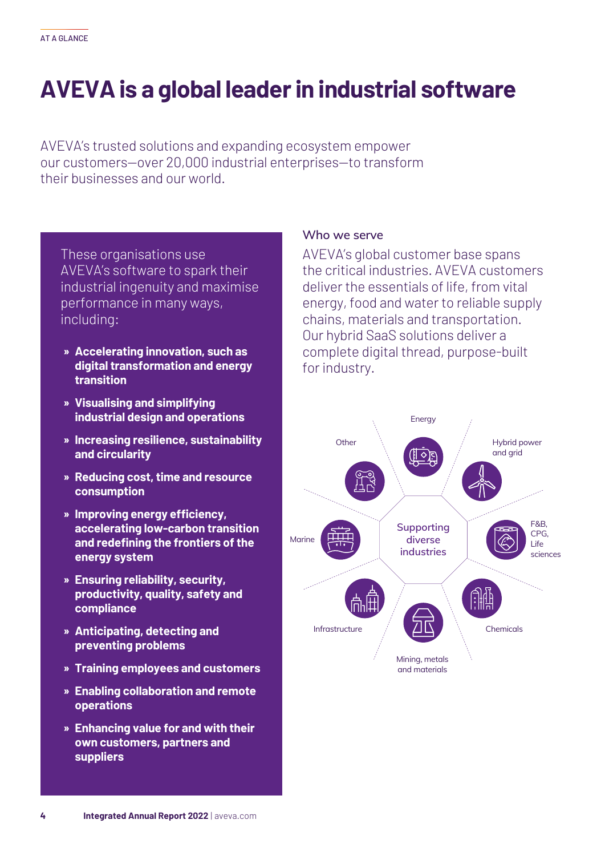# **AVEVA is a global leader in industrial software**

AVEVA's trusted solutions and expanding ecosystem empower our customers—over 20,000 industrial enterprises—to transform their businesses and our world.

These organisations use AVEVA's software to spark their industrial ingenuity and maximise performance in many ways, including:

- **» Accelerating innovation, such as digital transformation and energy transition**
- **» Visualising and simplifying industrial design and operations**
- **» Increasing resilience, sustainability and circularity**
- **» Reducing cost, time and resource consumption**
- **» Improving energy efficiency, accelerating low-carbon transition and redefining the frontiers of the energy system**
- **» Ensuring reliability, security, productivity, quality, safety and compliance**
- **» Anticipating, detecting and preventing problems**
- **» Training employees and customers**
- **» Enabling collaboration and remote operations**
- **» Enhancing value for and with their own customers, partners and suppliers**

#### **Who we serve**

AVEVA's global customer base spans the critical industries. AVEVA customers deliver the essentials of life, from vital energy, food and water to reliable supply chains, materials and transportation. Our hybrid SaaS solutions deliver a complete digital thread, purpose-built for industry.

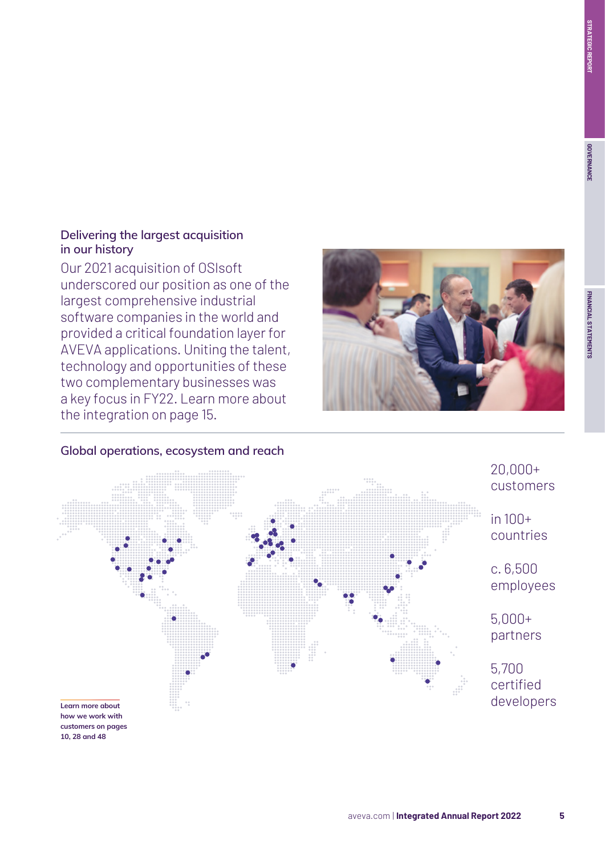# **FINANCIAL STATEMENTS STRATEGIC REPORT**FINANCIAL STATEMENTS

#### **Delivering the largest acquisition in our history**

Our 2021 acquisition of OSIsoft underscored our position as one of the largest comprehensive industrial software companies in the world and provided a critical foundation layer for AVEVA applications. Uniting the talent, technology and opportunities of these two complementary businesses was a key focus in FY22. Learn more about the integration on page 15.





#### **Global operations, ecosystem and reach**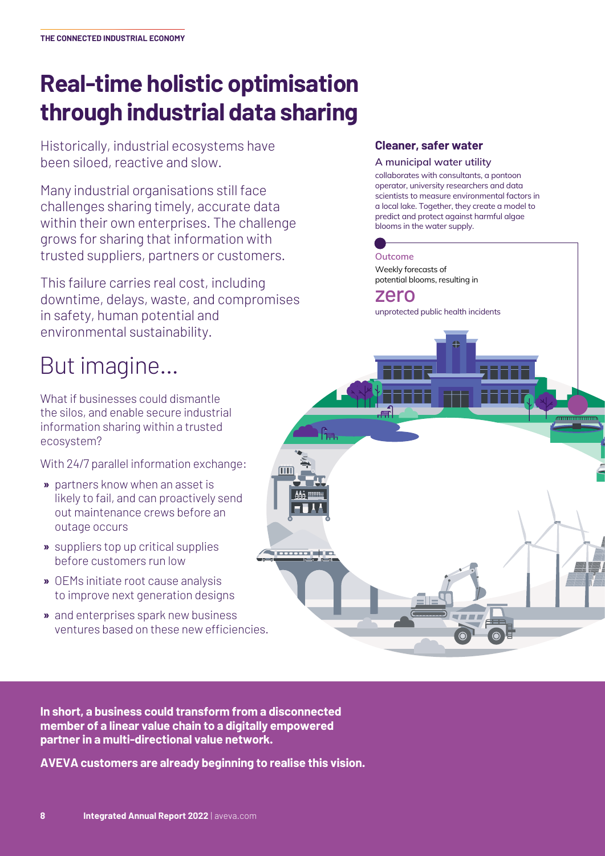# **Real-time holistic optimisation through industrial data sharing**

Historically, industrial ecosystems have been siloed, reactive and slow.

Many industrial organisations still face challenges sharing timely, accurate data within their own enterprises. The challenge grows for sharing that information with trusted suppliers, partners or customers.

This failure carries real cost, including downtime, delays, waste, and compromises in safety, human potential and environmental sustainability.

## But imagine…

What if businesses could dismantle the silos, and enable secure industrial information sharing within a trusted ecosystem?

With 24/7 parallel information exchange:

- **»** partners know when an asset is likely to fail, and can proactively send out maintenance crews before an outage occurs
- **»** suppliers top up critical supplies before customers run low
- **»** OEMs initiate root cause analysis to improve next generation designs
- **»** and enterprises spark new business ventures based on these new efficiencies.

#### **Cleaner, safer water**

**A municipal water utility**

collaborates with consultants, a pontoon operator, university researchers and data scientists to measure environmental factors in a local lake. Together, they create a model to predict and protect against harmful algae blooms in the water supply.

### **Outcome**

Weekly forecasts of potential blooms, resulting in

#### zero

ſ<sub>Ħ.</sub>

**Alexandria** 

unprotected public health incidents

<del>...................</del>



**AVEVA customers are already beginning to realise this vision.**